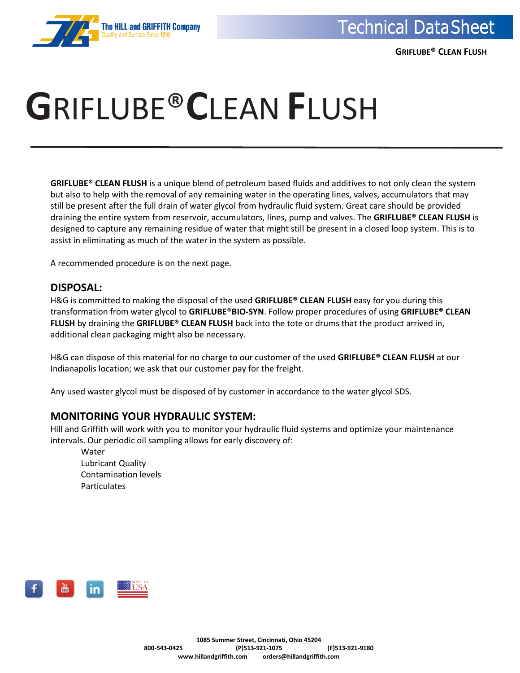

 **GRIFLUBE® CLEAN FLUSH**

# **G**RIFLUBE®**C**LEAN **F**LUSH

**GRIFLUBE® CLEAN FLUSH** is a unique blend of petroleum based fluids and additives to not only clean the system but also to help with the removal of any remaining water in the operating lines, valves, accumulators that may still be present after the full drain of water glycol from hydraulic fluid system. Great care should be provided draining the entire system from reservoir, accumulators, lines, pump and valves. The **GRIFLUBE® CLEAN FLUSH** is designed to capture any remaining residue of water that might still be present in a closed loop system. This is to assist in eliminating as much of the water in the system as possible.

A recommended procedure is on the next page.

## **DISPOSAL:**

H&G is committed to making the disposal of the used **GRIFLUBE® CLEAN FLUSH** easy for you during this transformation from water glycol to **GRIFLUBE**®**BIO-SYN**. Follow proper procedures of using **GRIFLUBE® CLEAN FLUSH** by draining the **GRIFLUBE® CLEAN FLUSH** back into the tote or drums that the product arrived in, additional clean packaging might also be necessary.

H&G can dispose of this material for no charge to our customer of the used **GRIFLUBE® CLEAN FLUSH** at our Indianapolis location; we ask that our customer pay for the freight.

Any used waster glycol must be disposed of by customer in accordance to the water glycol SDS.

## **MONITORING YOUR HYDRAULIC SYSTEM:**

Hill and Griffith will work with you to monitor your hydraulic fluid systems and optimize your maintenance intervals. Our periodic oil sampling allows for early discovery of:

Water Lubricant Quality Contamination levels Particulates